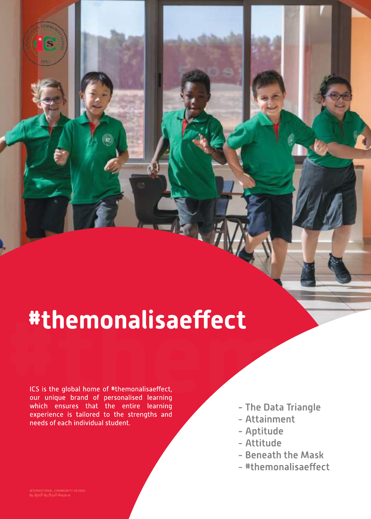# **#themonalisaeffect**<br> **ECS** is the global home of #themonalisaeffect,<br>
our unique brand of personalised learning<br>
which ensures that the entire learning - The Data Triangle

ICS is the global home of #themonalisaeffect, our unique brand of personalised learning which ensures that the entire learning experience is tailored to the strengths and needs of each individual student.

- The Data Triangle
- Attainment
- Aptitu de
- Attitu de
- Beneath the Mask
- #themonalisaeffect